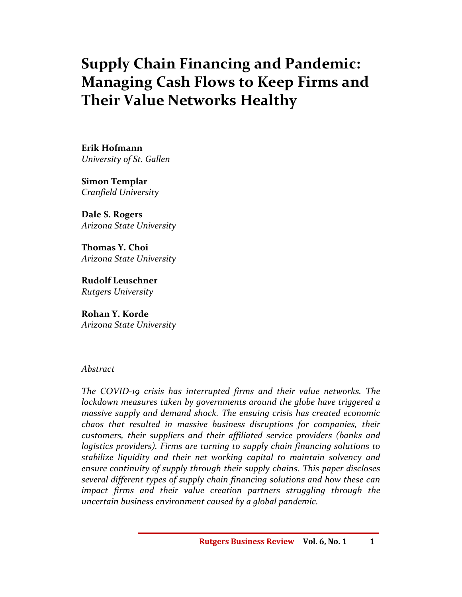# **Supply Chain Financing and Pandemic: Managing Cash Flows to Keep Firms and Their Value Networks Healthy**

**Erik Hofmann**  *University of St. Gallen* 

**Simon Templar**  *Cranfield University* 

**Dale S. Rogers**  *Arizona State University* 

**Thomas Y. Choi**  *Arizona State University* 

**Rudolf Leuschner**  *Rutgers University* 

**Rohan Y. Korde**  *Arizona State University*

## *Abstract*

*The COVID-19 crisis has interrupted firms and their value networks. The lockdown measures taken by governments around the globe have triggered a massive supply and demand shock. The ensuing crisis has created economic chaos that resulted in massive business disruptions for companies, their customers, their suppliers and their affiliated service providers (banks and logistics providers). Firms are turning to supply chain financing solutions to stabilize liquidity and their net working capital to maintain solvency and ensure continuity of supply through their supply chains. This paper discloses several different types of supply chain financing solutions and how these can impact firms and their value creation partners struggling through the uncertain business environment caused by a global pandemic.*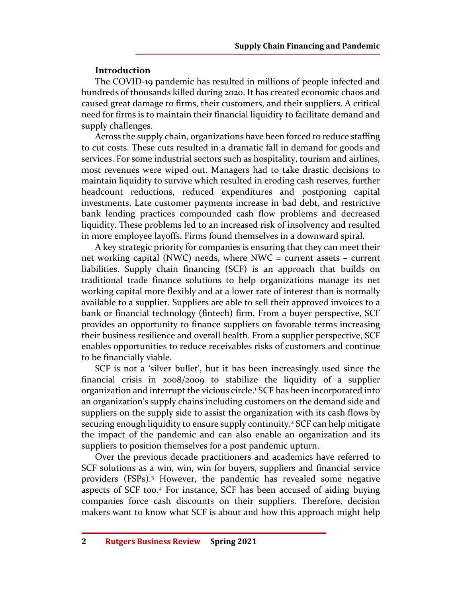# **Introduction**

The COVID-19 pandemic has resulted in millions of people infected and hundreds of thousands killed during 2020. It has created economic chaos and caused great damage to firms, their customers, and their suppliers. A critical need for firms is to maintain their financial liquidity to facilitate demand and supply challenges.

Across the supply chain, organizations have been forced to reduce staffing to cut costs. These cuts resulted in a dramatic fall in demand for goods and services. For some industrial sectors such as hospitality, tourism and airlines, most revenues were wiped out. Managers had to take drastic decisions to maintain liquidity to survive which resulted in eroding cash reserves, further headcount reductions, reduced expenditures and postponing capital investments. Late customer payments increase in bad debt, and restrictive bank lending practices compounded cash flow problems and decreased liquidity. These problems led to an increased risk of insolvency and resulted in more employee layoffs. Firms found themselves in a downward spiral.

A key strategic priority for companies is ensuring that they can meet their net working capital (NWC) needs, where NWC = current assets – current liabilities. Supply chain financing (SCF) is an approach that builds on traditional trade finance solutions to help organizations manage its net working capital more flexibly and at a lower rate of interest than is normally available to a supplier. Suppliers are able to sell their approved invoices to a bank or financial technology (fintech) firm. From a buyer perspective, SCF provides an opportunity to finance suppliers on favorable terms increasing their business resilience and overall health. From a supplier perspective, SCF enables opportunities to reduce receivables risks of customers and continue to be financially viable.

SCF is not a 'silver bullet', but it has been increasingly used since the financial crisis in 2008/2009 to stabilize the liquidity of a supplier organization and interrupt the vicious circle.<sup>1</sup> SCF has been incorporated into an organization's supply chains including customers on the demand side and suppliers on the supply side to assist the organization with its cash flows by securing enough liquidity to ensure supply continuity.<sup>2</sup> SCF can help mitigate the impact of the pandemic and can also enable an organization and its suppliers to position themselves for a post pandemic upturn.

Over the previous decade practitioners and academics have referred to SCF solutions as a win, win, win for buyers, suppliers and financial service providers (FSPs).<sup>3</sup> However, the pandemic has revealed some negative aspects of SCF too.<sup>4</sup> For instance, SCF has been accused of aiding buying companies force cash discounts on their suppliers. Therefore, decision makers want to know what SCF is about and how this approach might help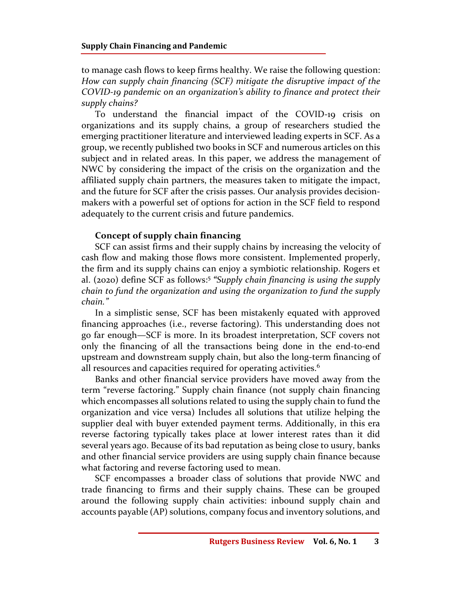to manage cash flows to keep firms healthy. We raise the following question: *How can supply chain financing (SCF) mitigate the disruptive impact of the COVID-19 pandemic on an organization's ability to finance and protect their supply chains?* 

To understand the financial impact of the COVID-19 crisis on organizations and its supply chains, a group of researchers studied the emerging practitioner literature and interviewed leading experts in SCF. As a group, we recently published two books in SCF and numerous articles on this subject and in related areas. In this paper, we address the management of NWC by considering the impact of the crisis on the organization and the affiliated supply chain partners, the measures taken to mitigate the impact, and the future for SCF after the crisis passes. Our analysis provides decisionmakers with a powerful set of options for action in the SCF field to respond adequately to the current crisis and future pandemics.

# **Concept of supply chain financing**

SCF can assist firms and their supply chains by increasing the velocity of cash flow and making those flows more consistent. Implemented properly, the firm and its supply chains can enjoy a symbiotic relationship. Rogers et al. (2020) define SCF as follows:<sup>5</sup>  *"Supply chain financing is using the supply chain to fund the organization and using the organization to fund the supply chain."* 

In a simplistic sense, SCF has been mistakenly equated with approved financing approaches (i.e., reverse factoring). This understanding does not go far enough—SCF is more. In its broadest interpretation, SCF covers not only the financing of all the transactions being done in the end-to-end upstream and downstream supply chain, but also the long-term financing of all resources and capacities required for operating activities.<sup>6</sup>

Banks and other financial service providers have moved away from the term "reverse factoring." Supply chain finance (not supply chain financing which encompasses all solutions related to using the supply chain to fund the organization and vice versa) Includes all solutions that utilize helping the supplier deal with buyer extended payment terms. Additionally, in this era reverse factoring typically takes place at lower interest rates than it did several years ago. Because of its bad reputation as being close to usury, banks and other financial service providers are using supply chain finance because what factoring and reverse factoring used to mean.

SCF encompasses a broader class of solutions that provide NWC and trade financing to firms and their supply chains. These can be grouped around the following supply chain activities: inbound supply chain and accounts payable (AP) solutions, company focus and inventory solutions, and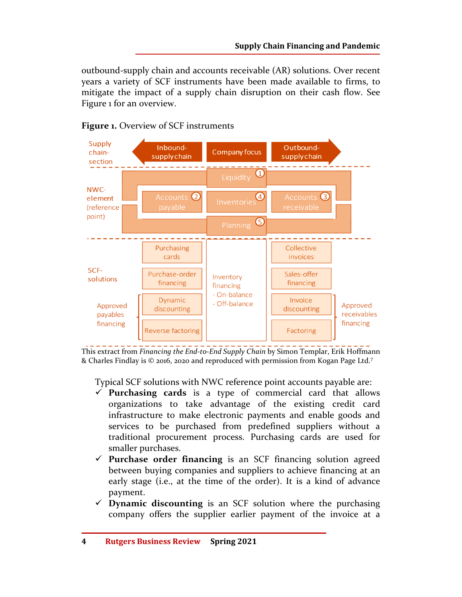outbound-supply chain and accounts receivable (AR) solutions. Over recent years a variety of SCF instruments have been made available to firms, to mitigate the impact of a supply chain disruption on their cash flow. See Figure 1 for an overview.



## **Figure 1.** Overview of SCF instruments

This extract from *Financing the End-to-End Supply Chain* by Simon Templar, Erik Hoffmann & Charles Findlay is © 2016, 2020 and reproduced with permission from Kogan Page Ltd.<sup>7</sup>

Typical SCF solutions with NWC reference point accounts payable are:

- **Purchasing cards** is a type of commercial card that allows organizations to take advantage of the existing credit card infrastructure to make electronic payments and enable goods and services to be purchased from predefined suppliers without a traditional procurement process. Purchasing cards are used for smaller purchases.
- **Purchase order financing** is an SCF financing solution agreed between buying companies and suppliers to achieve financing at an early stage (i.e., at the time of the order). It is a kind of advance payment.
- **Dynamic discounting** is an SCF solution where the purchasing company offers the supplier earlier payment of the invoice at a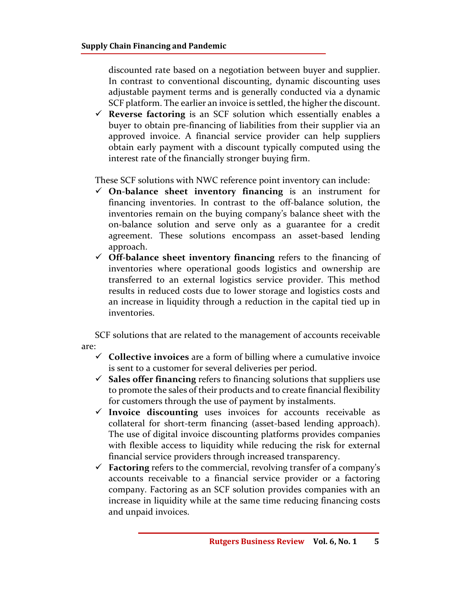discounted rate based on a negotiation between buyer and supplier. In contrast to conventional discounting, dynamic discounting uses adjustable payment terms and is generally conducted via a dynamic SCF platform. The earlier an invoice is settled, the higher the discount.

 **Reverse factoring** is an SCF solution which essentially enables a buyer to obtain pre-financing of liabilities from their supplier via an approved invoice. A financial service provider can help suppliers obtain early payment with a discount typically computed using the interest rate of the financially stronger buying firm.

These SCF solutions with NWC reference point inventory can include:

- **On-balance sheet inventory financing** is an instrument for financing inventories. In contrast to the off-balance solution, the inventories remain on the buying company's balance sheet with the on-balance solution and serve only as a guarantee for a credit agreement. These solutions encompass an asset-based lending approach.
- **Off-balance sheet inventory financing** refers to the financing of inventories where operational goods logistics and ownership are transferred to an external logistics service provider. This method results in reduced costs due to lower storage and logistics costs and an increase in liquidity through a reduction in the capital tied up in inventories.

SCF solutions that are related to the management of accounts receivable are:

- **Collective invoices** are a form of billing where a cumulative invoice is sent to a customer for several deliveries per period.
- $\checkmark$  **Sales offer financing** refers to financing solutions that suppliers use to promote the sales of their products and to create financial flexibility for customers through the use of payment by instalments.
- **Invoice discounting** uses invoices for accounts receivable as collateral for short-term financing (asset-based lending approach). The use of digital invoice discounting platforms provides companies with flexible access to liquidity while reducing the risk for external financial service providers through increased transparency.
- **Factoring** refers to the commercial, revolving transfer of a company's accounts receivable to a financial service provider or a factoring company. Factoring as an SCF solution provides companies with an increase in liquidity while at the same time reducing financing costs and unpaid invoices.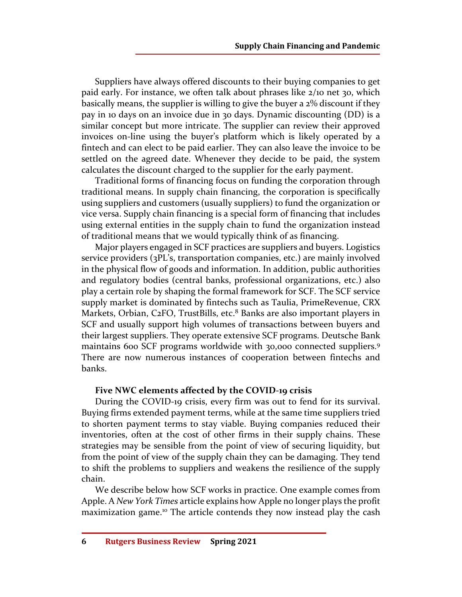Suppliers have always offered discounts to their buying companies to get paid early. For instance, we often talk about phrases like 2/10 net 30, which basically means, the supplier is willing to give the buyer a 2% discount if they pay in 10 days on an invoice due in 30 days. Dynamic discounting (DD) is a similar concept but more intricate. The supplier can review their approved invoices on-line using the buyer's platform which is likely operated by a fintech and can elect to be paid earlier. They can also leave the invoice to be settled on the agreed date. Whenever they decide to be paid, the system calculates the discount charged to the supplier for the early payment.

Traditional forms of financing focus on funding the corporation through traditional means. In supply chain financing, the corporation is specifically using suppliers and customers (usually suppliers) to fund the organization or vice versa. Supply chain financing is a special form of financing that includes using external entities in the supply chain to fund the organization instead of traditional means that we would typically think of as financing.

Major players engaged in SCF practices are suppliers and buyers. Logistics service providers (3PL's, transportation companies, etc.) are mainly involved in the physical flow of goods and information. In addition, public authorities and regulatory bodies (central banks, professional organizations, etc.) also play a certain role by shaping the formal framework for SCF. The SCF service supply market is dominated by fintechs such as Taulia, PrimeRevenue, CRX Markets, Orbian, C2FO, TrustBills, etc.<sup>8</sup> Banks are also important players in SCF and usually support high volumes of transactions between buyers and their largest suppliers. They operate extensive SCF programs. Deutsche Bank maintains 600 SCF programs worldwide with 30,000 connected suppliers.<sup>9</sup> There are now numerous instances of cooperation between fintechs and banks.

## **Five NWC elements affected by the COVID-19 crisis**

During the COVID-19 crisis, every firm was out to fend for its survival. Buying firms extended payment terms, while at the same time suppliers tried to shorten payment terms to stay viable. Buying companies reduced their inventories, often at the cost of other firms in their supply chains. These strategies may be sensible from the point of view of securing liquidity, but from the point of view of the supply chain they can be damaging. They tend to shift the problems to suppliers and weakens the resilience of the supply chain.

We describe below how SCF works in practice. One example comes from Apple. A *New York Times* article explains how Apple no longer plays the profit maximization game.10 The article contends they now instead play the cash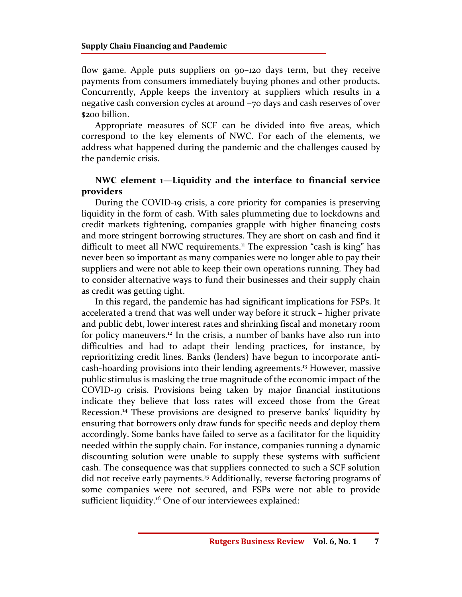flow game. Apple puts suppliers on 90–120 days term, but they receive payments from consumers immediately buying phones and other products. Concurrently, Apple keeps the inventory at suppliers which results in a negative cash conversion cycles at around -70 days and cash reserves of over \$200 billion.

Appropriate measures of SCF can be divided into five areas, which correspond to the key elements of NWC. For each of the elements, we address what happened during the pandemic and the challenges caused by the pandemic crisis.

## **NWC element 1—Liquidity and the interface to financial service providers**

During the COVID-19 crisis, a core priority for companies is preserving liquidity in the form of cash. With sales plummeting due to lockdowns and credit markets tightening, companies grapple with higher financing costs and more stringent borrowing structures. They are short on cash and find it difficult to meet all NWC requirements.<sup>11</sup> The expression "cash is king" has never been so important as many companies were no longer able to pay their suppliers and were not able to keep their own operations running. They had to consider alternative ways to fund their businesses and their supply chain as credit was getting tight.

In this regard, the pandemic has had significant implications for FSPs. It accelerated a trend that was well under way before it struck – higher private and public debt, lower interest rates and shrinking fiscal and monetary room for policy maneuvers.<sup>12</sup> In the crisis, a number of banks have also run into difficulties and had to adapt their lending practices, for instance, by reprioritizing credit lines. Banks (lenders) have begun to incorporate anticash-hoarding provisions into their lending agreements.<sup>13</sup> However, massive public stimulus is masking the true magnitude of the economic impact of the COVID-19 crisis. Provisions being taken by major financial institutions indicate they believe that loss rates will exceed those from the Great Recession.<sup>14</sup> These provisions are designed to preserve banks' liquidity by ensuring that borrowers only draw funds for specific needs and deploy them accordingly. Some banks have failed to serve as a facilitator for the liquidity needed within the supply chain. For instance, companies running a dynamic discounting solution were unable to supply these systems with sufficient cash. The consequence was that suppliers connected to such a SCF solution did not receive early payments.<sup>15</sup> Additionally, reverse factoring programs of some companies were not secured, and FSPs were not able to provide sufficient liquidity.<sup>16</sup> One of our interviewees explained: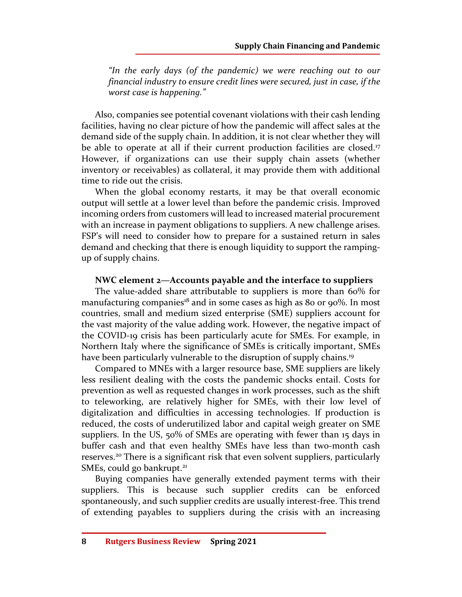*"In the early days (of the pandemic) we were reaching out to our financial industry to ensure credit lines were secured, just in case, if the worst case is happening."* 

Also, companies see potential covenant violations with their cash lending facilities, having no clear picture of how the pandemic will affect sales at the demand side of the supply chain. In addition, it is not clear whether they will be able to operate at all if their current production facilities are closed.<sup>17</sup> However, if organizations can use their supply chain assets (whether inventory or receivables) as collateral, it may provide them with additional time to ride out the crisis.

When the global economy restarts, it may be that overall economic output will settle at a lower level than before the pandemic crisis. Improved incoming orders from customers will lead to increased material procurement with an increase in payment obligations to suppliers. A new challenge arises. FSP's will need to consider how to prepare for a sustained return in sales demand and checking that there is enough liquidity to support the rampingup of supply chains.

## **NWC element 2—Accounts payable and the interface to suppliers**

The value-added share attributable to suppliers is more than 60% for manufacturing companies<sup>18</sup> and in some cases as high as 80 or 90%. In most countries, small and medium sized enterprise (SME) suppliers account for the vast majority of the value adding work. However, the negative impact of the COVID-19 crisis has been particularly acute for SMEs. For example, in Northern Italy where the significance of SMEs is critically important, SMEs have been particularly vulnerable to the disruption of supply chains.<sup>19</sup>

Compared to MNEs with a larger resource base, SME suppliers are likely less resilient dealing with the costs the pandemic shocks entail. Costs for prevention as well as requested changes in work processes, such as the shift to teleworking, are relatively higher for SMEs, with their low level of digitalization and difficulties in accessing technologies. If production is reduced, the costs of underutilized labor and capital weigh greater on SME suppliers. In the US, 50% of SMEs are operating with fewer than 15 days in buffer cash and that even healthy SMEs have less than two-month cash reserves.<sup>20</sup> There is a significant risk that even solvent suppliers, particularly SMEs, could go bankrupt.<sup>21</sup>

Buying companies have generally extended payment terms with their suppliers. This is because such supplier credits can be enforced spontaneously, and such supplier credits are usually interest-free. This trend of extending payables to suppliers during the crisis with an increasing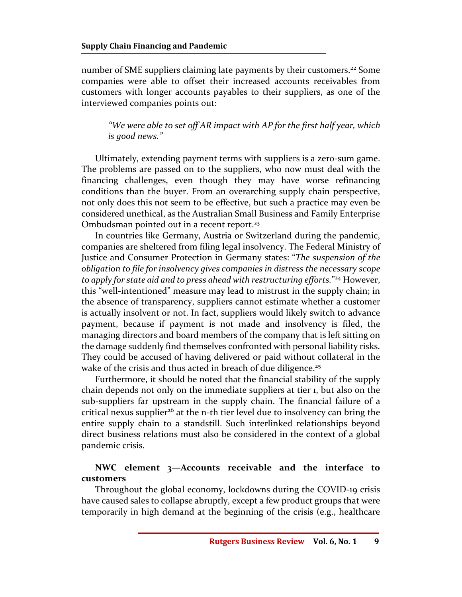number of SME suppliers claiming late payments by their customers.<sup>22</sup> Some companies were able to offset their increased accounts receivables from customers with longer accounts payables to their suppliers, as one of the interviewed companies points out:

*"We were able to set off AR impact with AP for the first half year, which is good news."* 

Ultimately, extending payment terms with suppliers is a zero-sum game. The problems are passed on to the suppliers, who now must deal with the financing challenges, even though they may have worse refinancing conditions than the buyer. From an overarching supply chain perspective, not only does this not seem to be effective, but such a practice may even be considered unethical, as the Australian Small Business and Family Enterprise Ombudsman pointed out in a recent report.<sup>23</sup>

In countries like Germany, Austria or Switzerland during the pandemic, companies are sheltered from filing legal insolvency. The Federal Ministry of Justice and Consumer Protection in Germany states: "*The suspension of the obligation to file for insolvency gives companies in distress the necessary scope to apply for state aid and to press ahead with restructuring efforts.*" <sup>24</sup> However, this "well-intentioned" measure may lead to mistrust in the supply chain; in the absence of transparency, suppliers cannot estimate whether a customer is actually insolvent or not. In fact, suppliers would likely switch to advance payment, because if payment is not made and insolvency is filed, the managing directors and board members of the company that is left sitting on the damage suddenly find themselves confronted with personal liability risks. They could be accused of having delivered or paid without collateral in the wake of the crisis and thus acted in breach of due diligence.<sup>25</sup>

Furthermore, it should be noted that the financial stability of the supply chain depends not only on the immediate suppliers at tier 1, but also on the sub-suppliers far upstream in the supply chain. The financial failure of a critical nexus supplier<sup>26</sup> at the n-th tier level due to insolvency can bring the entire supply chain to a standstill. Such interlinked relationships beyond direct business relations must also be considered in the context of a global pandemic crisis.

## **NWC element 3—Accounts receivable and the interface to customers**

Throughout the global economy, lockdowns during the COVID-19 crisis have caused sales to collapse abruptly, except a few product groups that were temporarily in high demand at the beginning of the crisis (e.g., healthcare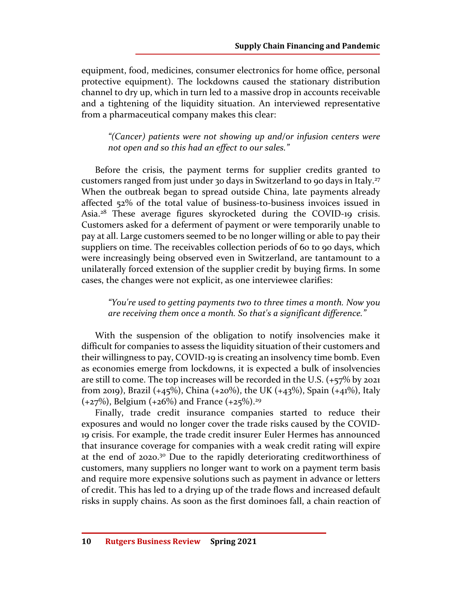equipment, food, medicines, consumer electronics for home office, personal protective equipment). The lockdowns caused the stationary distribution channel to dry up, which in turn led to a massive drop in accounts receivable and a tightening of the liquidity situation. An interviewed representative from a pharmaceutical company makes this clear:

*"(Cancer) patients were not showing up and/or infusion centers were not open and so this had an effect to our sales."* 

Before the crisis, the payment terms for supplier credits granted to customers ranged from just under 30 days in Switzerland to 90 days in Italy.<sup>27</sup> When the outbreak began to spread outside China, late payments already affected 52% of the total value of business-to-business invoices issued in Asia.<sup>28</sup> These average figures skyrocketed during the COVID-19 crisis. Customers asked for a deferment of payment or were temporarily unable to pay at all. Large customers seemed to be no longer willing or able to pay their suppliers on time. The receivables collection periods of 60 to 90 days, which were increasingly being observed even in Switzerland, are tantamount to a unilaterally forced extension of the supplier credit by buying firms. In some cases, the changes were not explicit, as one interviewee clarifies:

*"You're used to getting payments two to three times a month. Now you are receiving them once a month. So that's a significant difference."* 

With the suspension of the obligation to notify insolvencies make it difficult for companies to assess the liquidity situation of their customers and their willingness to pay, COVID-19 is creating an insolvency time bomb. Even as economies emerge from lockdowns, it is expected a bulk of insolvencies are still to come. The top increases will be recorded in the U.S. (+57% by 2021 from 2019), Brazil (+45%), China (+20%), the UK (+43%), Spain (+41%), Italy  $(+27%)$ , Belgium  $(+26%)$  and France  $(+25%)$ .<sup>29</sup>

Finally, trade credit insurance companies started to reduce their exposures and would no longer cover the trade risks caused by the COVID-19 crisis. For example, the trade credit insurer Euler Hermes has announced that insurance coverage for companies with a weak credit rating will expire at the end of 2020.<sup>30</sup> Due to the rapidly deteriorating creditworthiness of customers, many suppliers no longer want to work on a payment term basis and require more expensive solutions such as payment in advance or letters of credit. This has led to a drying up of the trade flows and increased default risks in supply chains. As soon as the first dominoes fall, a chain reaction of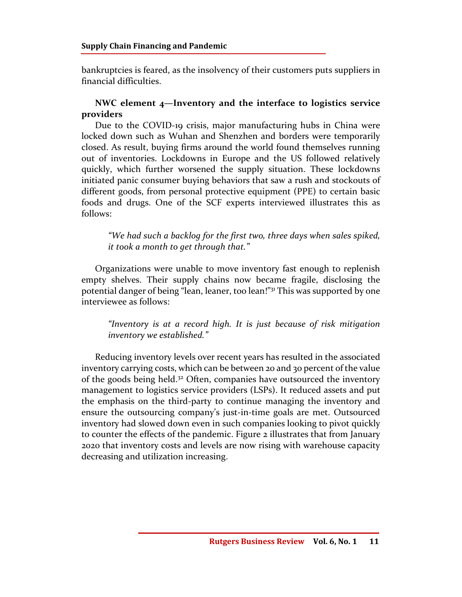bankruptcies is feared, as the insolvency of their customers puts suppliers in financial difficulties.

# **NWC element 4—Inventory and the interface to logistics service providers**

Due to the COVID-19 crisis, major manufacturing hubs in China were locked down such as Wuhan and Shenzhen and borders were temporarily closed. As result, buying firms around the world found themselves running out of inventories. Lockdowns in Europe and the US followed relatively quickly, which further worsened the supply situation. These lockdowns initiated panic consumer buying behaviors that saw a rush and stockouts of different goods, from personal protective equipment (PPE) to certain basic foods and drugs. One of the SCF experts interviewed illustrates this as follows:

*"We had such a backlog for the first two, three days when sales spiked, it took a month to get through that."* 

Organizations were unable to move inventory fast enough to replenish empty shelves. Their supply chains now became fragile, disclosing the potential danger of being "lean, leaner, too lean!"<sup>31</sup> This was supported by one interviewee as follows:

*"Inventory is at a record high. It is just because of risk mitigation inventory we established."* 

Reducing inventory levels over recent years has resulted in the associated inventory carrying costs, which can be between 20 and 30 percent of the value of the goods being held.<sup>32</sup> Often, companies have outsourced the inventory management to logistics service providers (LSPs). It reduced assets and put the emphasis on the third-party to continue managing the inventory and ensure the outsourcing company's just-in-time goals are met. Outsourced inventory had slowed down even in such companies looking to pivot quickly to counter the effects of the pandemic. Figure 2 illustrates that from January 2020 that inventory costs and levels are now rising with warehouse capacity decreasing and utilization increasing.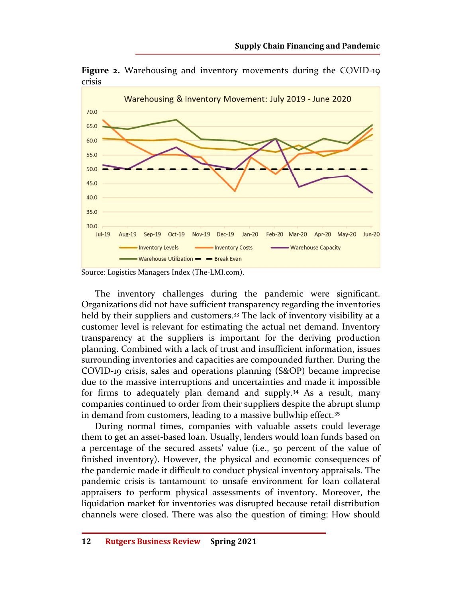**Figure 2.** Warehousing and inventory movements during the COVID-19 crisis



Source: Logistics Managers Index (The-LMI.com).

The inventory challenges during the pandemic were significant. Organizations did not have sufficient transparency regarding the inventories held by their suppliers and customers.<sup>33</sup> The lack of inventory visibility at a customer level is relevant for estimating the actual net demand. Inventory transparency at the suppliers is important for the deriving production planning. Combined with a lack of trust and insufficient information, issues surrounding inventories and capacities are compounded further. During the COVID-19 crisis, sales and operations planning (S&OP) became imprecise due to the massive interruptions and uncertainties and made it impossible for firms to adequately plan demand and supply.<sup>34</sup> As a result, many companies continued to order from their suppliers despite the abrupt slump in demand from customers, leading to a massive bullwhip effect.<sup>35</sup>

During normal times, companies with valuable assets could leverage them to get an asset-based loan. Usually, lenders would loan funds based on a percentage of the secured assets' value (i.e., 50 percent of the value of finished inventory). However, the physical and economic consequences of the pandemic made it difficult to conduct physical inventory appraisals. The pandemic crisis is tantamount to unsafe environment for loan collateral appraisers to perform physical assessments of inventory. Moreover, the liquidation market for inventories was disrupted because retail distribution channels were closed. There was also the question of timing: How should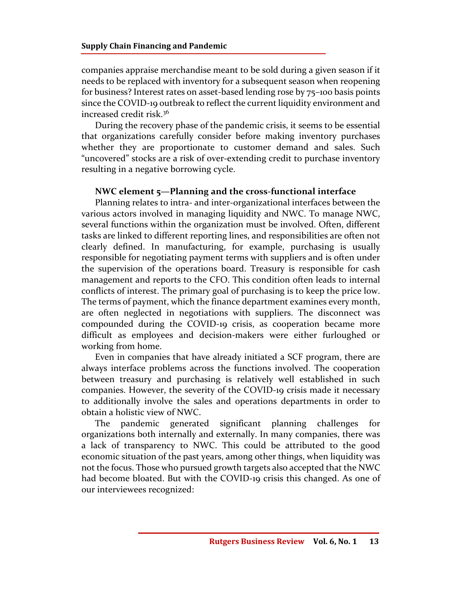companies appraise merchandise meant to be sold during a given season if it needs to be replaced with inventory for a subsequent season when reopening for business? Interest rates on asset-based lending rose by 75–100 basis points since the COVID-19 outbreak to reflect the current liquidity environment and increased credit risk.<sup>36</sup>

During the recovery phase of the pandemic crisis, it seems to be essential that organizations carefully consider before making inventory purchases whether they are proportionate to customer demand and sales. Such "uncovered" stocks are a risk of over-extending credit to purchase inventory resulting in a negative borrowing cycle.

## **NWC element 5—Planning and the cross-functional interface**

Planning relates to intra- and inter-organizational interfaces between the various actors involved in managing liquidity and NWC. To manage NWC, several functions within the organization must be involved. Often, different tasks are linked to different reporting lines, and responsibilities are often not clearly defined. In manufacturing, for example, purchasing is usually responsible for negotiating payment terms with suppliers and is often under the supervision of the operations board. Treasury is responsible for cash management and reports to the CFO. This condition often leads to internal conflicts of interest. The primary goal of purchasing is to keep the price low. The terms of payment, which the finance department examines every month, are often neglected in negotiations with suppliers. The disconnect was compounded during the COVID-19 crisis, as cooperation became more difficult as employees and decision-makers were either furloughed or working from home.

Even in companies that have already initiated a SCF program, there are always interface problems across the functions involved. The cooperation between treasury and purchasing is relatively well established in such companies. However, the severity of the COVID-19 crisis made it necessary to additionally involve the sales and operations departments in order to obtain a holistic view of NWC.

The pandemic generated significant planning challenges for organizations both internally and externally. In many companies, there was a lack of transparency to NWC. This could be attributed to the good economic situation of the past years, among other things, when liquidity was not the focus. Those who pursued growth targets also accepted that the NWC had become bloated. But with the COVID-19 crisis this changed. As one of our interviewees recognized: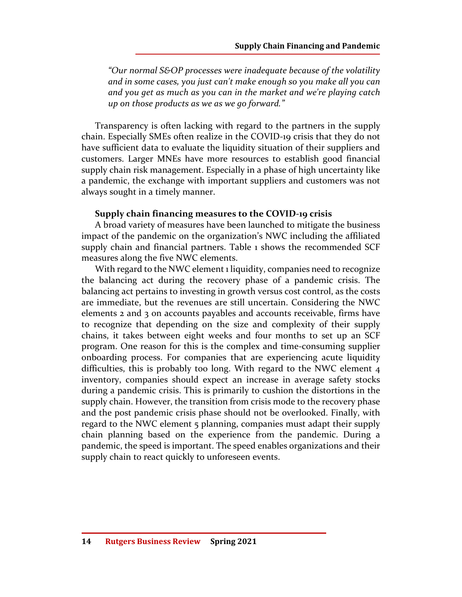*"Our normal S&OP processes were inadequate because of the volatility and in some cases, you just can't make enough so you make all you can and you get as much as you can in the market and we're playing catch up on those products as we as we go forward."* 

Transparency is often lacking with regard to the partners in the supply chain. Especially SMEs often realize in the COVID-19 crisis that they do not have sufficient data to evaluate the liquidity situation of their suppliers and customers. Larger MNEs have more resources to establish good financial supply chain risk management. Especially in a phase of high uncertainty like a pandemic, the exchange with important suppliers and customers was not always sought in a timely manner.

### **Supply chain financing measures to the COVID-19 crisis**

A broad variety of measures have been launched to mitigate the business impact of the pandemic on the organization's NWC including the affiliated supply chain and financial partners. Table 1 shows the recommended SCF measures along the five NWC elements.

With regard to the NWC element 1 liquidity, companies need to recognize the balancing act during the recovery phase of a pandemic crisis. The balancing act pertains to investing in growth versus cost control, as the costs are immediate, but the revenues are still uncertain. Considering the NWC elements 2 and 3 on accounts payables and accounts receivable, firms have to recognize that depending on the size and complexity of their supply chains, it takes between eight weeks and four months to set up an SCF program. One reason for this is the complex and time-consuming supplier onboarding process. For companies that are experiencing acute liquidity difficulties, this is probably too long. With regard to the NWC element 4 inventory, companies should expect an increase in average safety stocks during a pandemic crisis. This is primarily to cushion the distortions in the supply chain. However, the transition from crisis mode to the recovery phase and the post pandemic crisis phase should not be overlooked. Finally, with regard to the NWC element 5 planning, companies must adapt their supply chain planning based on the experience from the pandemic. During a pandemic, the speed is important. The speed enables organizations and their supply chain to react quickly to unforeseen events.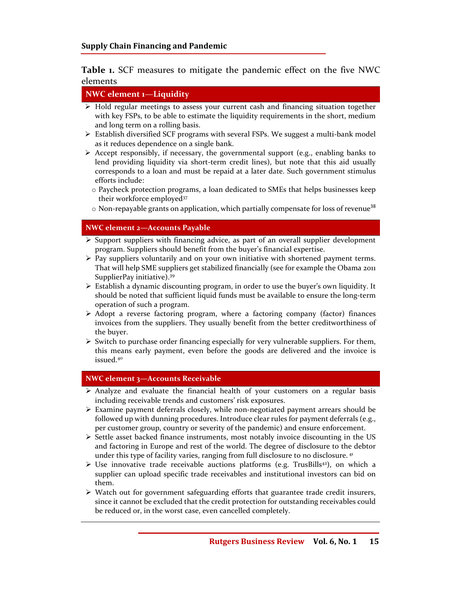**Table 1.** SCF measures to mitigate the pandemic effect on the five NWC elements

## **NWC element 1**—**Liquidity**

- $\triangleright$  Hold regular meetings to assess your current cash and financing situation together with key FSPs, to be able to estimate the liquidity requirements in the short, medium and long term on a rolling basis.
- $\triangleright$  Establish diversified SCF programs with several FSPs. We suggest a multi-bank model as it reduces dependence on a single bank.
- $\triangleright$  Accept responsibly, if necessary, the governmental support (e.g., enabling banks to lend providing liquidity via short-term credit lines), but note that this aid usually corresponds to a loan and must be repaid at a later date. Such government stimulus efforts include:
	- o Paycheck protection programs, a loan dedicated to SMEs that helps businesses keep their workforce employed<sup>37</sup>
	- $\circ$  Non-repayable grants on application, which partially compensate for loss of revenue<sup>38</sup>

#### **NWC element 2—Accounts Payable**

- $\triangleright$  Support suppliers with financing advice, as part of an overall supplier development program. Suppliers should benefit from the buyer's financial expertise.
- $\triangleright$  Pay suppliers voluntarily and on your own initiative with shortened payment terms. That will help SME suppliers get stabilized financially (see for example the Obama 2011 SupplierPay initiative).<sup>39</sup>
- $\triangleright$  Establish a dynamic discounting program, in order to use the buyer's own liquidity. It should be noted that sufficient liquid funds must be available to ensure the long-term operation of such a program.
- $\triangleright$  Adopt a reverse factoring program, where a factoring company (factor) finances invoices from the suppliers. They usually benefit from the better creditworthiness of the buyer.
- $\triangleright$  Switch to purchase order financing especially for very vulnerable suppliers. For them, this means early payment, even before the goods are delivered and the invoice is issued.<sup>40</sup>

#### **NWC element 3—Accounts Receivable**

- $\triangleright$  Analyze and evaluate the financial health of your customers on a regular basis including receivable trends and customers' risk exposures.
- $\triangleright$  Examine payment deferrals closely, while non-negotiated payment arrears should be followed up with dunning procedures. Introduce clear rules for payment deferrals (e.g., per customer group, country or severity of the pandemic) and ensure enforcement.
- $\triangleright$  Settle asset backed finance instruments, most notably invoice discounting in the US and factoring in Europe and rest of the world. The degree of disclosure to the debtor under this type of facility varies, ranging from full disclosure to no disclosure.<sup>41</sup>
- $\triangleright$  Use innovative trade receivable auctions platforms (e.g. TrusBills<sup>42</sup>), on which a supplier can upload specific trade receivables and institutional investors can bid on them.
- $\triangleright$  Watch out for government safeguarding efforts that guarantee trade credit insurers, since it cannot be excluded that the credit protection for outstanding receivables could be reduced or, in the worst case, even cancelled completely.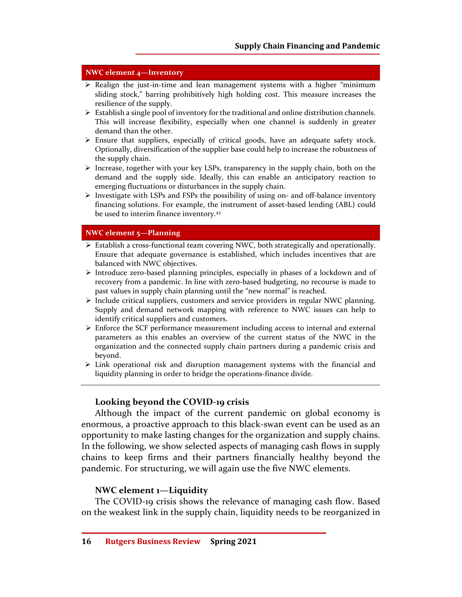#### **NWC element 4—Inventory**

- $\triangleright$  Realign the just-in-time and lean management systems with a higher "minimum" sliding stock," barring prohibitively high holding cost. This measure increases the resilience of the supply.
- $\triangleright$  Establish a single pool of inventory for the traditional and online distribution channels. This will increase flexibility, especially when one channel is suddenly in greater demand than the other.
- Ensure that suppliers, especially of critical goods, have an adequate safety stock. Optionally, diversification of the supplier base could help to increase the robustness of the supply chain.
- $\triangleright$  Increase, together with your key LSPs, transparency in the supply chain, both on the demand and the supply side. Ideally, this can enable an anticipatory reaction to emerging fluctuations or disturbances in the supply chain.
- $\triangleright$  Investigate with LSPs and FSPs the possibility of using on- and off-balance inventory financing solutions. For example, the instrument of asset-based lending (ABL) could be used to interim finance inventory.<sup>43</sup>

#### **NWC element 5—Planning**

- Establish a cross-functional team covering NWC, both strategically and operationally. Ensure that adequate governance is established, which includes incentives that are balanced with NWC objectives.
- $\triangleright$  Introduce zero-based planning principles, especially in phases of a lockdown and of recovery from a pandemic. In line with zero-based budgeting, no recourse is made to past values in supply chain planning until the "new normal" is reached.
- $\triangleright$  Include critical suppliers, customers and service providers in regular NWC planning. Supply and demand network mapping with reference to NWC issues can help to identify critical suppliers and customers.
- $\triangleright$  Enforce the SCF performance measurement including access to internal and external parameters as this enables an overview of the current status of the NWC in the organization and the connected supply chain partners during a pandemic crisis and beyond.
- $\triangleright$  Link operational risk and disruption management systems with the financial and liquidity planning in order to bridge the operations-finance divide.

## **Looking beyond the COVID-19 crisis**

Although the impact of the current pandemic on global economy is enormous, a proactive approach to this black-swan event can be used as an opportunity to make lasting changes for the organization and supply chains. In the following, we show selected aspects of managing cash flows in supply chains to keep firms and their partners financially healthy beyond the pandemic. For structuring, we will again use the five NWC elements.

#### **NWC element 1—Liquidity**

The COVID-19 crisis shows the relevance of managing cash flow. Based on the weakest link in the supply chain, liquidity needs to be reorganized in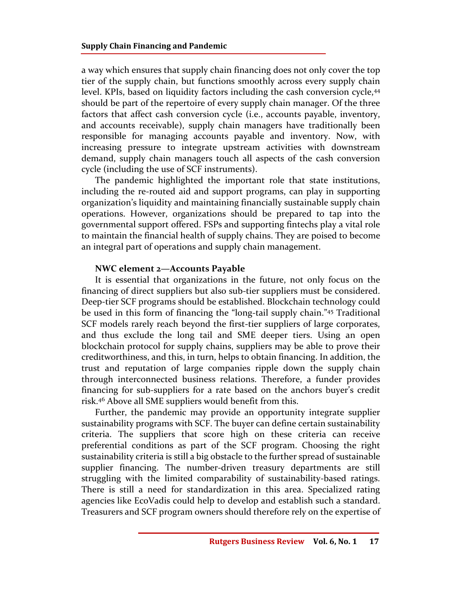a way which ensures that supply chain financing does not only cover the top tier of the supply chain, but functions smoothly across every supply chain level. KPIs, based on liquidity factors including the cash conversion cycle,<sup>44</sup> should be part of the repertoire of every supply chain manager. Of the three factors that affect cash conversion cycle (i.e., accounts payable, inventory, and accounts receivable), supply chain managers have traditionally been responsible for managing accounts payable and inventory. Now, with increasing pressure to integrate upstream activities with downstream demand, supply chain managers touch all aspects of the cash conversion cycle (including the use of SCF instruments).

The pandemic highlighted the important role that state institutions, including the re-routed aid and support programs, can play in supporting organization's liquidity and maintaining financially sustainable supply chain operations. However, organizations should be prepared to tap into the governmental support offered. FSPs and supporting fintechs play a vital role to maintain the financial health of supply chains. They are poised to become an integral part of operations and supply chain management.

#### **NWC element 2—Accounts Payable**

It is essential that organizations in the future, not only focus on the financing of direct suppliers but also sub-tier suppliers must be considered. Deep-tier SCF programs should be established. Blockchain technology could be used in this form of financing the "long-tail supply chain."<sup>45</sup> Traditional SCF models rarely reach beyond the first-tier suppliers of large corporates, and thus exclude the long tail and SME deeper tiers. Using an open blockchain protocol for supply chains, suppliers may be able to prove their creditworthiness, and this, in turn, helps to obtain financing. In addition, the trust and reputation of large companies ripple down the supply chain through interconnected business relations. Therefore, a funder provides financing for sub-suppliers for a rate based on the anchors buyer's credit risk.<sup>46</sup> Above all SME suppliers would benefit from this.

Further, the pandemic may provide an opportunity integrate supplier sustainability programs with SCF. The buyer can define certain sustainability criteria. The suppliers that score high on these criteria can receive preferential conditions as part of the SCF program. Choosing the right sustainability criteria is still a big obstacle to the further spread of sustainable supplier financing. The number-driven treasury departments are still struggling with the limited comparability of sustainability-based ratings. There is still a need for standardization in this area. Specialized rating agencies like EcoVadis could help to develop and establish such a standard. Treasurers and SCF program owners should therefore rely on the expertise of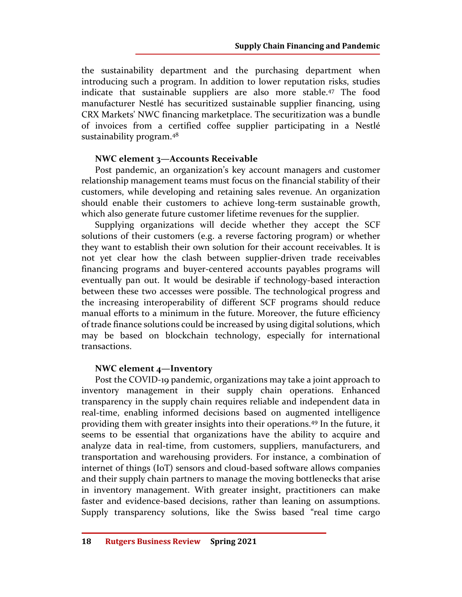the sustainability department and the purchasing department when introducing such a program. In addition to lower reputation risks, studies indicate that sustainable suppliers are also more stable.<sup>47</sup> The food manufacturer Nestlé has securitized sustainable supplier financing, using CRX Markets' NWC financing marketplace. The securitization was a bundle of invoices from a certified coffee supplier participating in a Nestlé sustainability program.<sup>48</sup>

# **NWC element 3—Accounts Receivable**

Post pandemic, an organization's key account managers and customer relationship management teams must focus on the financial stability of their customers, while developing and retaining sales revenue. An organization should enable their customers to achieve long-term sustainable growth, which also generate future customer lifetime revenues for the supplier.

Supplying organizations will decide whether they accept the SCF solutions of their customers (e.g. a reverse factoring program) or whether they want to establish their own solution for their account receivables. It is not yet clear how the clash between supplier-driven trade receivables financing programs and buyer-centered accounts payables programs will eventually pan out. It would be desirable if technology-based interaction between these two accesses were possible. The technological progress and the increasing interoperability of different SCF programs should reduce manual efforts to a minimum in the future. Moreover, the future efficiency of trade finance solutions could be increased by using digital solutions, which may be based on blockchain technology, especially for international transactions.

# **NWC element 4—Inventory**

Post the COVID-19 pandemic, organizations may take a joint approach to inventory management in their supply chain operations. Enhanced transparency in the supply chain requires reliable and independent data in real-time, enabling informed decisions based on augmented intelligence providing them with greater insights into their operations.<sup>49</sup> In the future, it seems to be essential that organizations have the ability to acquire and analyze data in real-time, from customers, suppliers, manufacturers, and transportation and warehousing providers. For instance, a combination of internet of things (IoT) sensors and cloud-based software allows companies and their supply chain partners to manage the moving bottlenecks that arise in inventory management. With greater insight, practitioners can make faster and evidence-based decisions, rather than leaning on assumptions. Supply transparency solutions, like the Swiss based "real time cargo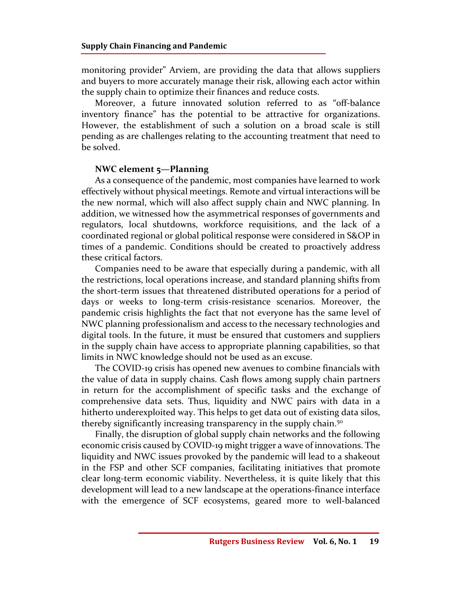monitoring provider" Arviem, are providing the data that allows suppliers and buyers to more accurately manage their risk, allowing each actor within the supply chain to optimize their finances and reduce costs.

Moreover, a future innovated solution referred to as "off-balance inventory finance" has the potential to be attractive for organizations. However, the establishment of such a solution on a broad scale is still pending as are challenges relating to the accounting treatment that need to be solved.

#### **NWC element 5—Planning**

As a consequence of the pandemic, most companies have learned to work effectively without physical meetings. Remote and virtual interactions will be the new normal, which will also affect supply chain and NWC planning. In addition, we witnessed how the asymmetrical responses of governments and regulators, local shutdowns, workforce requisitions, and the lack of a coordinated regional or global political response were considered in S&OP in times of a pandemic. Conditions should be created to proactively address these critical factors.

Companies need to be aware that especially during a pandemic, with all the restrictions, local operations increase, and standard planning shifts from the short-term issues that threatened distributed operations for a period of days or weeks to long-term crisis-resistance scenarios. Moreover, the pandemic crisis highlights the fact that not everyone has the same level of NWC planning professionalism and access to the necessary technologies and digital tools. In the future, it must be ensured that customers and suppliers in the supply chain have access to appropriate planning capabilities, so that limits in NWC knowledge should not be used as an excuse.

The COVID-19 crisis has opened new avenues to combine financials with the value of data in supply chains. Cash flows among supply chain partners in return for the accomplishment of specific tasks and the exchange of comprehensive data sets. Thus, liquidity and NWC pairs with data in a hitherto underexploited way. This helps to get data out of existing data silos, thereby significantly increasing transparency in the supply chain.<sup>50</sup>

Finally, the disruption of global supply chain networks and the following economic crisis caused by COVID-19 might trigger a wave of innovations. The liquidity and NWC issues provoked by the pandemic will lead to a shakeout in the FSP and other SCF companies, facilitating initiatives that promote clear long-term economic viability. Nevertheless, it is quite likely that this development will lead to a new landscape at the operations-finance interface with the emergence of SCF ecosystems, geared more to well-balanced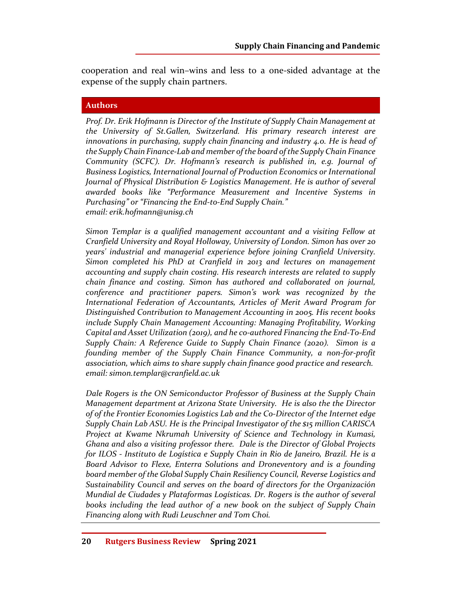cooperation and real win–wins and less to a one-sided advantage at the expense of the supply chain partners.

## **Authors**

*Prof. Dr. Erik Hofmann is Director of the Institute of Supply Chain Management at the University of St.Gallen, Switzerland. His primary research interest are innovations in purchasing, supply chain financing and industry 4.0. He is head of the Supply Chain Finance-Lab and member of the board of the Supply Chain Finance Community (SCFC). Dr. Hofmann's research is published in, e.g. Journal of Business Logistics, International Journal of Production Economics or International Journal of Physical Distribution & Logistics Management. He is author of several awarded books like "Performance Measurement and Incentive Systems in Purchasing" or "Financing the End-to-End Supply Chain." email: erik.hofmann@unisg.ch* 

*Simon Templar is a qualified management accountant and a visiting Fellow at Cranfield University and Royal Holloway, University of London. Simon has over 20 years' industrial and managerial experience before joining Cranfield University. Simon completed his PhD at Cranfield in 2013 and lectures on management accounting and supply chain costing. His research interests are related to supply chain finance and costing. Simon has authored and collaborated on journal, conference and practitioner papers. Simon's work was recognized by the International Federation of Accountants, Articles of Merit Award Program for Distinguished Contribution to Management Accounting in 2005. His recent books include Supply Chain Management Accounting: Managing Profitability, Working Capital and Asset Utilization (2019), and he co-authored Financing the End-To-End Supply Chain: A Reference Guide to Supply Chain Finance (2020). Simon is a founding member of the Supply Chain Finance Community, a non-for-profit association, which aims to share supply chain finance good practice and research. email: simon.templar@cranfield.ac.uk* 

*Dale Rogers is the ON Semiconductor Professor of Business at the Supply Chain Management department at Arizona State University. He is also the the Director of of the Frontier Economies Logistics Lab and the Co-Director of the Internet edge Supply Chain Lab ASU. He is the Principal Investigator of the \$15 million CARISCA Project at Kwame Nkrumah University of Science and Technology in Kumasi, Ghana and also a visiting professor there. Dale is the Director of Global Projects for ILOS - Instituto de Logística e Supply Chain in Rio de Janeiro, Brazil. He is a Board Advisor to Flexe, Enterra Solutions and Droneventory and is a founding board member of the Global Supply Chain Resiliency Council, Reverse Logistics and Sustainability Council and serves on the board of directors for the Organización Mundial de Ciudades y Plataformas Logísticas. Dr. Rogers is the author of several books including the lead author of a new book on the subject of Supply Chain Financing along with Rudi Leuschner and Tom Choi.*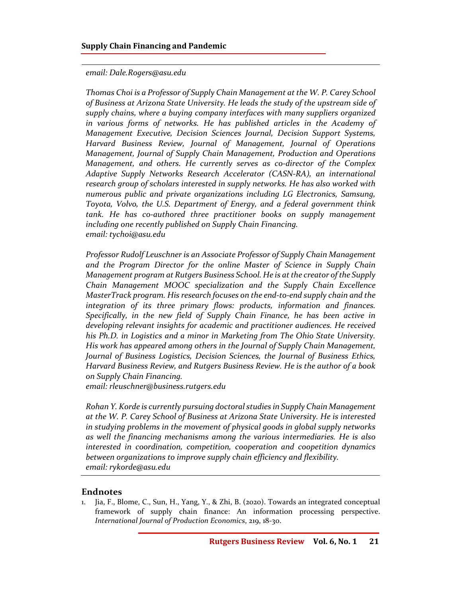#### *email: Dale.Rogers@asu.edu*

*Thomas Choi is a Professor of Supply Chain Management at the W. P. Carey School of Business at Arizona State University. He leads the study of the upstream side of supply chains, where a buying company interfaces with many suppliers organized in various forms of networks. He has published articles in the Academy of Management Executive, Decision Sciences Journal, Decision Support Systems, Harvard Business Review, Journal of Management, Journal of Operations Management, Journal of Supply Chain Management, Production and Operations Management, and others. He currently serves as co-director of the Complex Adaptive Supply Networks Research Accelerator (CASN-RA), an international research group of scholars interested in supply networks. He has also worked with numerous public and private organizations including LG Electronics, Samsung, Toyota, Volvo, the U.S. Department of Energy, and a federal government think tank. He has co-authored three practitioner books on supply management including one recently published on Supply Chain Financing. email: tychoi@asu.edu* 

*Professor Rudolf Leuschner is an Associate Professor of Supply Chain Management and the Program Director for the online Master of Science in Supply Chain Management program at Rutgers Business School. He is at the creator of the Supply Chain Management MOOC specialization and the Supply Chain Excellence MasterTrack program. His research focuses on the end-to-end supply chain and the integration of its three primary flows: products, information and finances. Specifically, in the new field of Supply Chain Finance, he has been active in developing relevant insights for academic and practitioner audiences. He received his Ph.D. in Logistics and a minor in Marketing from The Ohio State University. His work has appeared among others in the Journal of Supply Chain Management, Journal of Business Logistics, Decision Sciences, the Journal of Business Ethics, Harvard Business Review, and Rutgers Business Review. He is the author of a book on Supply Chain Financing.* 

*email: rleuschner@business.rutgers.edu* 

*Rohan Y. Korde is currently pursuing doctoral studies in Supply Chain Management at the W. P. Carey School of Business at Arizona State University. He is interested in studying problems in the movement of physical goods in global supply networks as well the financing mechanisms among the various intermediaries. He is also interested in coordination, competition, cooperation and coopetition dynamics between organizations to improve supply chain efficiency and flexibility. email: rykorde@asu.edu* 

## **Endnotes**

1. Jia, F., Blome, C., Sun, H., Yang, Y., & Zhi, B. (2020). Towards an integrated conceptual framework of supply chain finance: An information processing perspective. *International Journal of Production Economics*, 219, 18-30.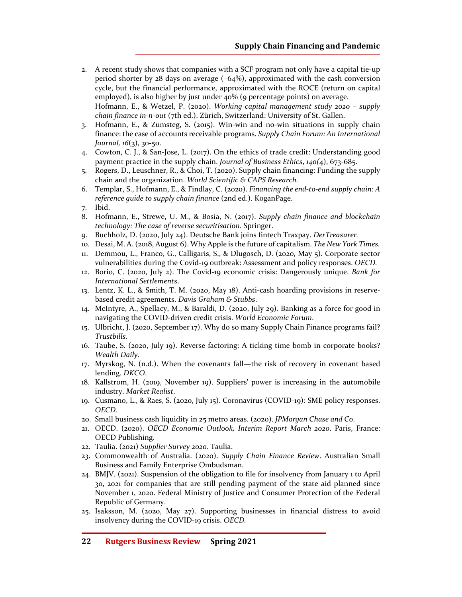- 2. A recent study shows that companies with a SCF program not only have a capital tie-up period shorter by 28 days on average (–64%), approximated with the cash conversion cycle, but the financial performance, approximated with the ROCE (return on capital employed), is also higher by just under 40% (9 percentage points) on average. Hofmann, E., & Wetzel, P. (2020). *Working capital management study 2020 – supply chain finance in-n-out* (7th ed.). Zürich, Switzerland: University of St. Gallen.
- 3. Hofmann, E., & Zumsteg, S. (2015). Win-win and no-win situations in supply chain finance: the case of accounts receivable programs. *Supply Chain Forum: An International Journal, 16*(3), 30-50.
- 4. Cowton, C. J., & San-Jose, L. (2017). On the ethics of trade credit: Understanding good payment practice in the supply chain. *Journal of Business Ethics*, *140(*4), 673-685.
- 5. Rogers, D., Leuschner, R., & Choi, T. (2020). Supply chain financing: Funding the supply chain and the organization. *World Scientific & CAPS Research.*
- 6. Templar, S., Hofmann, E., & Findlay, C. (2020). *Financing the end-to-end supply chain: A reference guide to supply chain finance* (2nd ed.). KoganPage.
- 7. Ibid.
- 8. Hofmann, E., Strewe, U. M., & Bosia, N. (2017). *Supply chain finance and blockchain technology: The case of reverse securitisation.* Springer.
- 9. Buchholz, D. (2020, July 24). Deutsche Bank joins fintech Traxpay. *DerTreasurer.*
- 10. Desai, M. A. (2018, August 6). Why Apple is the future of capitalism. *The New York Times.*
- 11. Demmou, L., Franco, G., Calligaris, S., & Dlugosch, D. (2020, May 5). Corporate sector vulnerabilities during the Covid-19 outbreak: Assessment and policy responses. *OECD.*
- 12. Borio, C. (2020, July 2). The Covid-19 economic crisis: Dangerously unique. *Bank for International Settlements*.
- 13. Lentz, K. L., & Smith, T. M. (2020, May 18). Anti-cash hoarding provisions in reservebased credit agreements. *Davis Graham & Stubbs*.
- 14. McIntyre, A., Spellacy, M., & Baraldi, D. (2020, July 29). Banking as a force for good in navigating the COVID-driven credit crisis. *World Economic Forum*.
- 15. Ulbricht, J. (2020, September 17). Why do so many Supply Chain Finance programs fail? *Trustbills.*
- 16. Taube, S. (2020, July 19). Reverse factoring: A ticking time bomb in corporate books? *Wealth Daily.*
- 17. Myrskog, N. (n.d.). When the covenants fall—the risk of recovery in covenant based lending. *DKCO*.
- 18. Kallstrom, H. (2019, November 19). Suppliers' power is increasing in the automobile industry. *Market Realist*.
- 19. Cusmano, L., & Raes, S. (2020, July 15). Coronavirus (COVID-19): SME policy responses. *OECD.*
- 20. Small business cash liquidity in 25 metro areas. (2020). *JPMorgan Chase and Co*.
- 21. OECD. (2020). *OECD Economic Outlook, Interim Report March 2020*. Paris, France: OECD Publishing.
- 22. Taulia. (2021) *Supplier Survey 2020*. Taulia.
- 23. Commonwealth of Australia. (2020). *Supply Chain Finance Review*. Australian Small Business and Family Enterprise Ombudsman.
- 24. BMJV. (2021). Suspension of the obligation to file for insolvency from January 1 to April 30, 2021 for companies that are still pending payment of the state aid planned since November 1, 2020. Federal Ministry of Justice and Consumer Protection of the Federal Republic of Germany.
- 25. Isaksson, M. (2020, May 27). Supporting businesses in financial distress to avoid insolvency during the COVID-19 crisis. *OECD.*